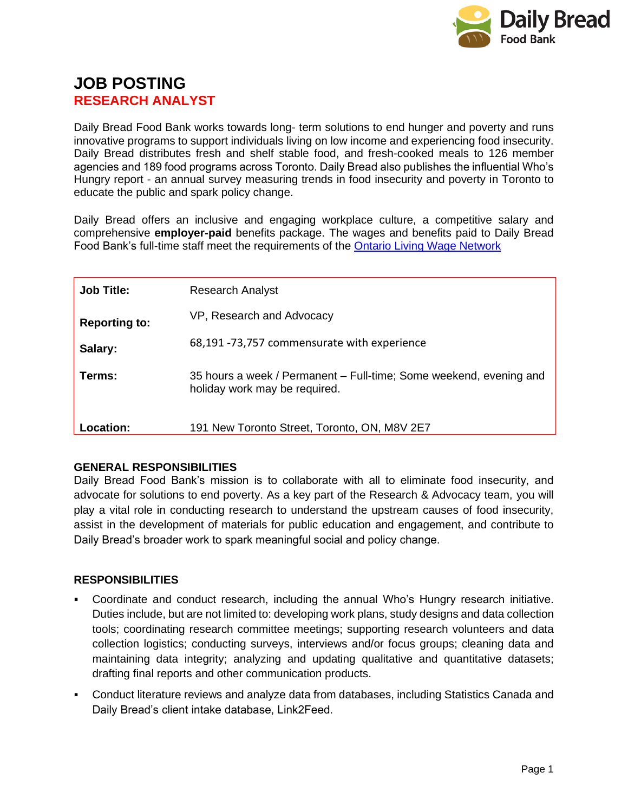

# **JOB POSTING RESEARCH ANALYST**

Daily Bread Food Bank works towards long- term solutions to end hunger and poverty and runs innovative programs to support individuals living on low income and experiencing food insecurity. Daily Bread distributes fresh and shelf stable food, and fresh-cooked meals to 126 member agencies and 189 food programs across Toronto. Daily Bread also publishes the influential Who's Hungry report - an annual survey measuring trends in food insecurity and poverty in Toronto to educate the public and spark policy change.

Daily Bread offers an inclusive and engaging workplace culture, a competitive salary and comprehensive **employer-paid** benefits package. The wages and benefits paid to Daily Bread Food Bank's full-time staff meet the requirements of the [Ontario Living Wage Network](https://www.ontariolivingwage.ca/what_is_the_living_wage)

| <b>Job Title:</b>    | <b>Research Analyst</b>                                                                             |
|----------------------|-----------------------------------------------------------------------------------------------------|
| <b>Reporting to:</b> | VP, Research and Advocacy                                                                           |
| Salary:              | 68,191 -73,757 commensurate with experience                                                         |
| Terms:               | 35 hours a week / Permanent – Full-time; Some weekend, evening and<br>holiday work may be required. |
| Location:            | 191 New Toronto Street, Toronto, ON, M8V 2E7                                                        |

## **GENERAL RESPONSIBILITIES**

Daily Bread Food Bank's mission is to collaborate with all to eliminate food insecurity, and advocate for solutions to end poverty. As a key part of the Research & Advocacy team, you will play a vital role in conducting research to understand the upstream causes of food insecurity, assist in the development of materials for public education and engagement, and contribute to Daily Bread's broader work to spark meaningful social and policy change.

## **RESPONSIBILITIES**

- Coordinate and conduct research, including the annual Who's Hungry research initiative. Duties include, but are not limited to: developing work plans, study designs and data collection tools; coordinating research committee meetings; supporting research volunteers and data collection logistics; conducting surveys, interviews and/or focus groups; cleaning data and maintaining data integrity; analyzing and updating qualitative and quantitative datasets; drafting final reports and other communication products.
- Conduct literature reviews and analyze data from databases, including Statistics Canada and Daily Bread's client intake database, Link2Feed.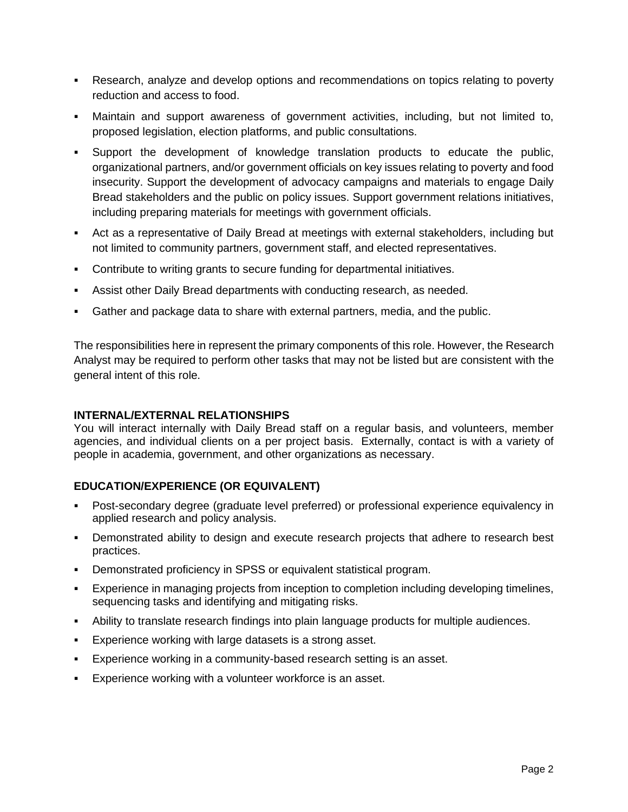- Research, analyze and develop options and recommendations on topics relating to poverty reduction and access to food.
- Maintain and support awareness of government activities, including, but not limited to, proposed legislation, election platforms, and public consultations.
- Support the development of knowledge translation products to educate the public, organizational partners, and/or government officials on key issues relating to poverty and food insecurity. Support the development of advocacy campaigns and materials to engage Daily Bread stakeholders and the public on policy issues. Support government relations initiatives, including preparing materials for meetings with government officials.
- Act as a representative of Daily Bread at meetings with external stakeholders, including but not limited to community partners, government staff, and elected representatives.
- Contribute to writing grants to secure funding for departmental initiatives.
- **EXE** Assist other Daily Bread departments with conducting research, as needed.
- Gather and package data to share with external partners, media, and the public.

The responsibilities here in represent the primary components of this role. However, the Research Analyst may be required to perform other tasks that may not be listed but are consistent with the general intent of this role.

#### **INTERNAL/EXTERNAL RELATIONSHIPS**

You will interact internally with Daily Bread staff on a regular basis, and volunteers, member agencies, and individual clients on a per project basis. Externally, contact is with a variety of people in academia, government, and other organizations as necessary.

## **EDUCATION/EXPERIENCE (OR EQUIVALENT)**

- Post-secondary degree (graduate level preferred) or professional experience equivalency in applied research and policy analysis.
- **•** Demonstrated ability to design and execute research projects that adhere to research best practices.
- Demonstrated proficiency in SPSS or equivalent statistical program.
- Experience in managing projects from inception to completion including developing timelines, sequencing tasks and identifying and mitigating risks.
- Ability to translate research findings into plain language products for multiple audiences.
- **Experience working with large datasets is a strong asset.**
- Experience working in a community-based research setting is an asset.
- Experience working with a volunteer workforce is an asset.